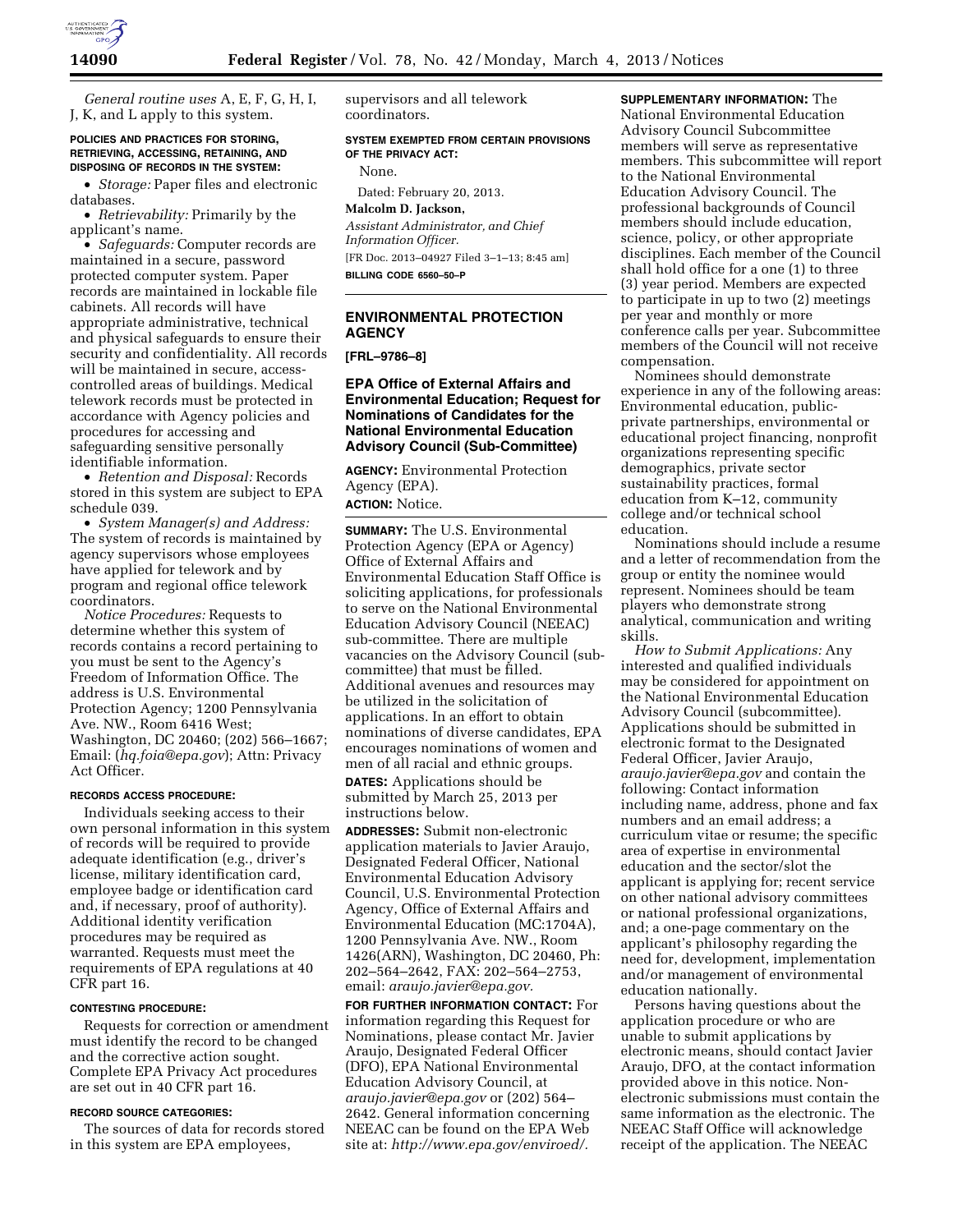

*General routine uses* A, E, F, G, H, I, J, K, and L apply to this system.

# **POLICIES AND PRACTICES FOR STORING, RETRIEVING, ACCESSING, RETAINING, AND DISPOSING OF RECORDS IN THE SYSTEM:**

• *Storage:* Paper files and electronic databases.

• *Retrievability:* Primarily by the applicant's name.

• *Safeguards:* Computer records are maintained in a secure, password protected computer system. Paper records are maintained in lockable file cabinets. All records will have appropriate administrative, technical and physical safeguards to ensure their security and confidentiality. All records will be maintained in secure, accesscontrolled areas of buildings. Medical telework records must be protected in accordance with Agency policies and procedures for accessing and safeguarding sensitive personally identifiable information.

• *Retention and Disposal:* Records stored in this system are subject to EPA schedule 039.

• *System Manager(s) and Address:*  The system of records is maintained by agency supervisors whose employees have applied for telework and by program and regional office telework coordinators.

*Notice Procedures:* Requests to determine whether this system of records contains a record pertaining to you must be sent to the Agency's Freedom of Information Office. The address is U.S. Environmental Protection Agency; 1200 Pennsylvania Ave. NW., Room 6416 West; Washington, DC 20460; (202) 566–1667; Email: (*[hq.foia@epa.gov](mailto:hq.foia@epa.gov)*); Attn: Privacy Act Officer.

#### **RECORDS ACCESS PROCEDURE:**

Individuals seeking access to their own personal information in this system of records will be required to provide adequate identification (e.g., driver's license, military identification card, employee badge or identification card and, if necessary, proof of authority). Additional identity verification procedures may be required as warranted. Requests must meet the requirements of EPA regulations at 40 CFR part 16.

#### **CONTESTING PROCEDURE:**

Requests for correction or amendment must identify the record to be changed and the corrective action sought. Complete EPA Privacy Act procedures are set out in 40 CFR part 16.

#### **RECORD SOURCE CATEGORIES:**

The sources of data for records stored in this system are EPA employees,

supervisors and all telework coordinators.

**SYSTEM EXEMPTED FROM CERTAIN PROVISIONS OF THE PRIVACY ACT:** 

None.

Dated: February 20, 2013.

**Malcolm D. Jackson,**  *Assistant Administrator, and Chief Information Officer.*  [FR Doc. 2013–04927 Filed 3–1–13; 8:45 am] **BILLING CODE 6560–50–P** 

# **ENVIRONMENTAL PROTECTION AGENCY**

**[FRL–9786–8]** 

**EPA Office of External Affairs and Environmental Education; Request for Nominations of Candidates for the National Environmental Education Advisory Council (Sub-Committee)** 

**AGENCY:** Environmental Protection Agency (EPA). **ACTION:** Notice.

**SUMMARY:** The U.S. Environmental Protection Agency (EPA or Agency) Office of External Affairs and Environmental Education Staff Office is soliciting applications, for professionals to serve on the National Environmental Education Advisory Council (NEEAC) sub-committee. There are multiple vacancies on the Advisory Council (subcommittee) that must be filled. Additional avenues and resources may be utilized in the solicitation of applications. In an effort to obtain nominations of diverse candidates, EPA encourages nominations of women and men of all racial and ethnic groups. **DATES:** Applications should be submitted by March 25, 2013 per instructions below.

**ADDRESSES:** Submit non-electronic application materials to Javier Araujo, Designated Federal Officer, National Environmental Education Advisory Council, U.S. Environmental Protection Agency, Office of External Affairs and Environmental Education (MC:1704A), 1200 Pennsylvania Ave. NW., Room 1426(ARN), Washington, DC 20460, Ph: 202–564–2642, FAX: 202–564–2753, email: *[araujo.javier@epa.gov.](mailto:araujo.javier@epa.gov)* 

**FOR FURTHER INFORMATION CONTACT:** For information regarding this Request for Nominations, please contact Mr. Javier Araujo, Designated Federal Officer (DFO), EPA National Environmental Education Advisory Council, at *[araujo.javier@epa.gov](mailto:araujo.javier@epa.gov)* or (202) 564– 2642. General information concerning NEEAC can be found on the EPA Web site at: *[http://www.epa.gov/enviroed/.](http://www.epa.gov/enviroed/)* 

**SUPPLEMENTARY INFORMATION:** The National Environmental Education Advisory Council Subcommittee members will serve as representative members. This subcommittee will report to the National Environmental Education Advisory Council. The professional backgrounds of Council members should include education, science, policy, or other appropriate disciplines. Each member of the Council shall hold office for a one (1) to three (3) year period. Members are expected to participate in up to two (2) meetings per year and monthly or more conference calls per year. Subcommittee members of the Council will not receive compensation.

Nominees should demonstrate experience in any of the following areas: Environmental education, publicprivate partnerships, environmental or educational project financing, nonprofit organizations representing specific demographics, private sector sustainability practices, formal education from K–12, community college and/or technical school education.

Nominations should include a resume and a letter of recommendation from the group or entity the nominee would represent. Nominees should be team players who demonstrate strong analytical, communication and writing skills.

*How to Submit Applications:* Any interested and qualified individuals may be considered for appointment on the National Environmental Education Advisory Council (subcommittee). Applications should be submitted in electronic format to the Designated Federal Officer, Javier Araujo, *[araujo.javier@epa.gov](mailto:araujo.javier@epa.gov)* and contain the following: Contact information including name, address, phone and fax numbers and an email address; a curriculum vitae or resume; the specific area of expertise in environmental education and the sector/slot the applicant is applying for; recent service on other national advisory committees or national professional organizations, and; a one-page commentary on the applicant's philosophy regarding the need for, development, implementation and/or management of environmental education nationally.

Persons having questions about the application procedure or who are unable to submit applications by electronic means, should contact Javier Araujo, DFO, at the contact information provided above in this notice. Nonelectronic submissions must contain the same information as the electronic. The NEEAC Staff Office will acknowledge receipt of the application. The NEEAC